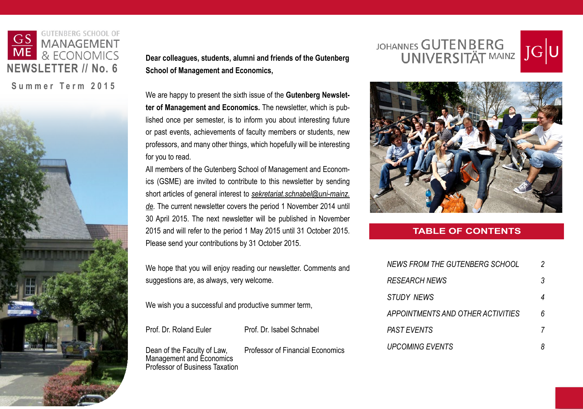

**Dear colleagues, students, alumni and friends of the Gutenberg School of Management and Economics,**

We are happy to present the sixth issue of the **Gutenberg Newsletter of Management and Economics.** The newsletter, which is published once per semester, is to inform you about interesting future or past events, achievements of faculty members or students, new professors, and many other things, which hopefully will be interesting for you to read.

All members of the Gutenberg School of Management and Economics (GSME) are invited to contribute to this newsletter by sending short articles of general interest to *[sekretariat.schnabel@uni-mainz.](mailto:sekretariat.schnabel%40uni-mainz.de?subject=) [de.](mailto:sekretariat.schnabel%40uni-mainz.de?subject=)* The current newsletter covers the period 1 November 2014 until 30 April 2015. The next newsletter will be published in November 2015 and will refer to the period 1 May 2015 until 31 October 2015. Please send your contributions by 31 October 2015.

We hope that you will enjoy reading our newsletter. Comments and suggestions are, as always, very welcome.

We wish you a successful and productive summer term,

Prof. Dr. Roland Euler Prof. Dr. Isabel Schnabel

Dean of the Faculty of Law, Professor of Financial Economics Management and Economics Professor of Business Taxation

JOHANNES GUTENBERG





#### **TABLE OF CONTENTS**

| NEWS FROM THE GUTENBERG SCHOOL    |   |
|-----------------------------------|---|
| <b>RESEARCH NEWS</b>              | 3 |
| <b>STUDY NEWS</b>                 |   |
| APPOINTMENTS AND OTHER ACTIVITIES | հ |
| PAST EVENTS                       |   |
| <b>UPCOMING EVENTS</b>            |   |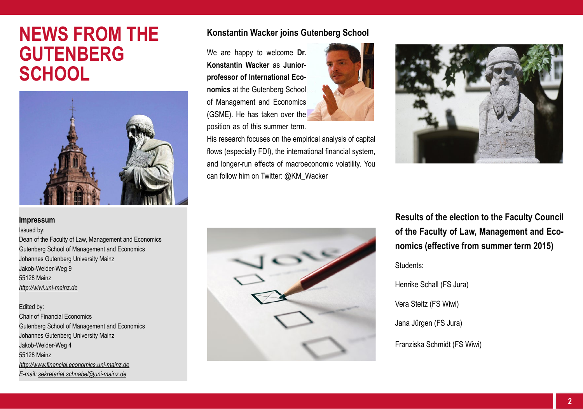# **NEWS FROM THE GUTENBERG SCHOOL**



#### **Konstantin Wacker joins Gutenberg School**

We are happy to welcome **Dr. Konstantin Wacker** as **Juniorprofessor of International Economics** at the Gutenberg School of Management and Economics (GSME). He has taken over the position as of this summer term.



His research focuses on the empirical analysis of capital flows (especially FDI), the international financial system, and longer-run effects of macroeconomic volatility. You can follow him on Twitter: @KM\_Wacker



**Impressum**

Issued by: Dean of the Faculty of Law, Management and Economics Gutenberg School of Management and Economics Johannes Gutenberg University Mainz Jakob-Welder-Weg 9 55128 Mainz *<http://wiwi.uni-mainz.de>*

Edited by: Chair of Financial Economics Gutenberg School of Management and Economics Johannes Gutenberg University Mainz Jakob-Welder-Weg 4 55128 Mainz *<http://www.financial.economics.uni-mainz.de> E-mail: sekretariat.schnabel@uni-mainz.de*



**Results of the election to the Faculty Council of the Faculty of Law, Management and Economics (effective from summer term 2015)**

Students:

Henrike Schall (FS Jura) Vera Steitz (FS Wiwi) Jana Jürgen (FS Jura) Franziska Schmidt (FS Wiwi)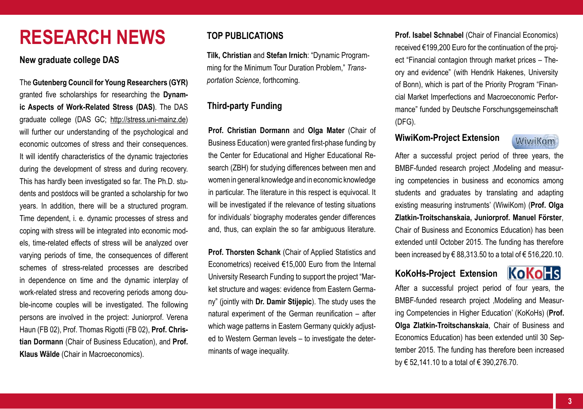# **RESEARCH NEWS**

#### **New graduate college DAS**

The **Gutenberg Council for Young Researchers (GYR)** granted five scholarships for researching the **Dynamic Aspects of Work-Related Stress (DAS)**. The DAS graduate college (DAS GC; [http://stress.uni-mainz.de\)](http://stress.uni-mainz.de) will further our understanding of the psychological and economic outcomes of stress and their consequences. It will identify characteristics of the dynamic trajectories during the development of stress and during recovery. This has hardly been investigated so far. The Ph.D. students and postdocs will be granted a scholarship for two years. In addition, there will be a structured program. Time dependent, i. e. dynamic processes of stress and coping with stress will be integrated into economic models, time-related effects of stress will be analyzed over varying periods of time, the consequences of different schemes of stress-related processes are described in dependence on time and the dynamic interplay of work-related stress and recovering periods among double-income couples will be investigated. The following persons are involved in the project: Juniorprof. Verena Haun (FB 02), Prof. Thomas Rigotti (FB 02), **Prof. Christian Dormann** (Chair of Business Education), and **Prof. Klaus Wälde** (Chair in Macroeconomics).

## **TOP PUBLICATIONS**

**Tilk, Christian** and **Stefan Irnich**: "Dynamic Programming for the Minimum Tour Duration Problem," *Transportation Science*, forthcoming.

## **Third-party Funding**

**Prof. Christian Dormann** and **Olga Mater** (Chair of Business Education) were granted first-phase funding by the Center for Educational and Higher Educational Research (ZBH) for studying differences between men and women in general knowledge and in economic knowledge in particular. The literature in this respect is equivocal. It will be investigated if the relevance of testing situations for individuals' biography moderates gender differences and, thus, can explain the so far ambiguous literature.

**Prof. Thorsten Schank** *(Chair of Applied Statistics and* Econometrics) received €15,000 Euro from the Internal University Research Funding to support the project "Market structure and wages: evidence from Eastern Germany" (jointly with **Dr. Damir Stijepic**). The study uses the natural experiment of the German reunification – after which wage patterns in Eastern Germany quickly adjusted to Western German levels – to investigate the determinants of wage inequality.

**Prof. Isabel Schnabel** (Chair of Financial Economics) received €199,200 Euro for the continuation of the project "Financial contagion through market prices – Theory and evidence" (with Hendrik Hakenes, University of Bonn), which is part of the Priority Program "Financial Market Imperfections and Macroeconomic Performance" funded by Deutsche Forschungsgemeinschaft (DFG).

#### **WiwiKom-Project Extension**



After a successful project period of three years, the BMBF-funded research project , Modeling and measuring competencies in business and economics among students and graduates by translating and adapting existing measuring instruments' (WiwiKom) (**Prof. Olga Zlatkin-Troitschanskaia, Juniorprof. Manuel Förster**, Chair of Business and Economics Education) has been extended until October 2015. The funding has therefore been increased by  $\epsilon$  88,313,50 to a total of  $\epsilon$  516,220,10.

# **KoKoHs-Project Extension**



After a successful project period of four years, the BMBF-funded research project , Modeling and Measuring Competencies in Higher Education' (KoKoHs) (**Prof. Olga Zlatkin-Troitschanskaia**, Chair of Business and Economics Education) has been extended until 30 September 2015. The funding has therefore been increased by € 52,141.10 to a total of € 390,276.70.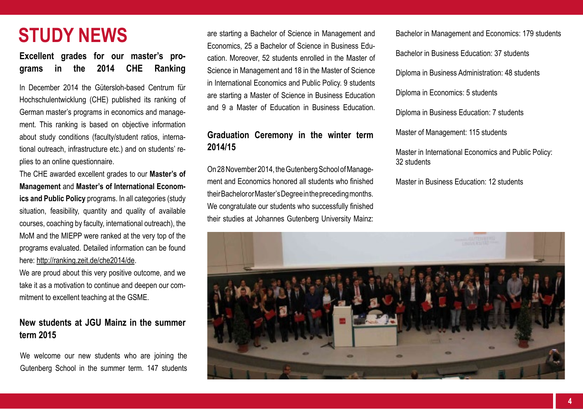# **STUDY NEWS**

**Excellent grades for our master's programs in the 2014 CHE Ranking**

In December 2014 the Gütersloh-based Centrum für Hochschulentwicklung (CHE) published its ranking of German master's programs in economics and management. This ranking is based on objective information about study conditions (faculty/student ratios, international outreach, infrastructure etc.) and on students' replies to an online questionnaire.

The CHE awarded excellent grades to our **Master's of Management** and **Master's of International Economics and Public Policy** programs. In all categories (study situation, feasibility, quantity and quality of available courses, coaching by faculty, international outreach), the MoM and the MIEPP were ranked at the very top of the programs evaluated. Detailed information can be found here: <http://ranking.zeit.de/che2014/de>.

We are proud about this very positive outcome, and we take it as a motivation to continue and deepen our commitment to excellent teaching at the GSME.

## **New students at JGU Mainz in the summer term 2015**

We welcome our new students who are joining the Gutenberg School in the summer term. 147 students

are starting a Bachelor of Science in Management and Economics, 25 a Bachelor of Science in Business Education. Moreover, 52 students enrolled in the Master of Science in Management and 18 in the Master of Science in International Economics and Public Policy. 9 students are starting a Master of Science in Business Education and 9 a Master of Education in Business Education.

## **Graduation Ceremony in the winter term 2014/15**

On 28 November 2014, the Gutenberg School of Management and Economics honored all students who finished their Bachelor or Master's Degree in the preceding months. We congratulate our students who successfully finished their studies at Johannes Gutenberg University Mainz: Bachelor in Management and Economics: 179 students

Bachelor in Business Education: 37 students

Diploma in Business Administration: 48 students

Diploma in Economics: 5 students

Diploma in Business Education: 7 students

Master of Management: 115 students

Master in International Economics and Public Policy: 32 students

Master in Business Education: 12 students

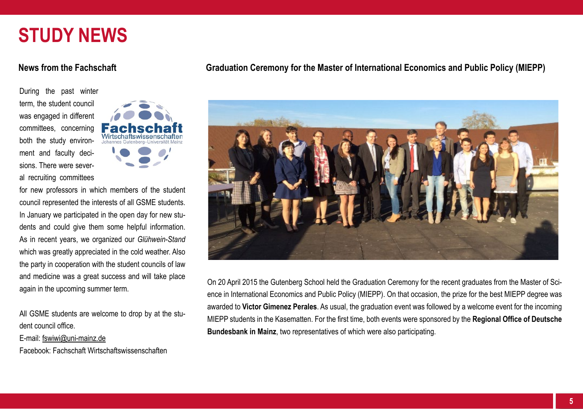# **STUDY NEWS**

#### **News from the Fachschaft**

During the past winter term, the student council was engaged in different committees, concerning both the study environment and faculty decisions. There were several recruiting committees



for new professors in which members of the student council represented the interests of all GSME students. In January we participated in the open day for new students and could give them some helpful information. As in recent years, we organized our *Glühwein-Stand* which was greatly appreciated in the cold weather. Also the party in cooperation with the student councils of law and medicine was a great success and will take place again in the upcoming summer term.

All GSME students are welcome to drop by at the student council office.

E-mail: [fswiwi@uni-mainz.de](mailto:fswiwi%40uni-mainz.de?subject=)

Facebook: Fachschaft Wirtschaftswissenschaften

#### **Graduation Ceremony for the Master of International Economics and Public Policy (MIEPP)**



On 20 April 2015 the Gutenberg School held the Graduation Ceremony for the recent graduates from the Master of Science in International Economics and Public Policy (MIEPP). On that occasion, the prize for the best MIEPP degree was awarded to **Victor Gimenez Perales**. As usual, the graduation event was followed by a welcome event for the incoming MIEPP students in the Kasematten. For the first time, both events were sponsored by the **Regional Office of Deutsche Bundesbank in Mainz**, two representatives of which were also participating.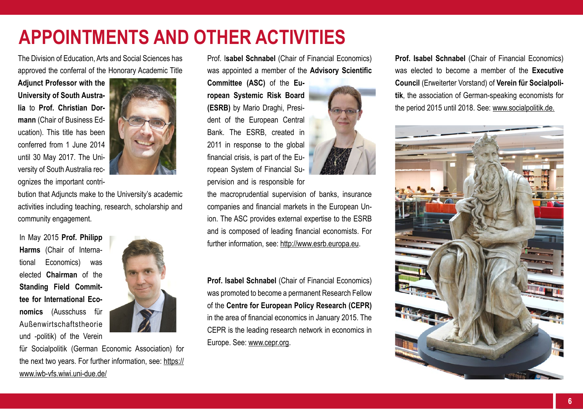# **APPOINTMENTS AND OTHER ACTIVITIES**

The Division of Education, Arts and Social Sciences has approved the conferral of the Honorary Academic Title

**Adjunct Professor with the University of South Australia** to **Prof. Christian Dormann** (Chair of Business Education). This title has been conferred from 1 June 2014 until 30 May 2017. The University of South Australia recognizes the important contri-



bution that Adjuncts make to the University's academic activities including teaching, research, scholarship and community engagement.

In May 2015 **Prof. Philipp Harms** (Chair of International Economics) was elected **Chairman** of the **Standing Field Committee for International Economics** (Ausschuss für Außenwirtschaftstheorie und -politik) of the Verein



für Socialpolitik (German Economic Association) for the next two years. For further information, see: [https://](https://www.iwb-vfs.wiwi.uni-due.de/) [www.iwb-vfs.wiwi.uni-due.de/](https://www.iwb-vfs.wiwi.uni-due.de/)

Prof. I**sabel Schnabel** (Chair of Financial Economics) was appointed a member of the **Advisory Scientific** 

**Committee (ASC)** of the **European Systemic Risk Board (ESRB)** by Mario Draghi, President of the European Central Bank. The ESRB, created in 2011 in response to the global financial crisis, is part of the European System of Financial Supervision and is responsible for



the macroprudential supervision of banks, insurance companies and financial markets in the European Union. The ASC provides external expertise to the ESRB and is composed of leading financial economists. For further information, see:<http://www.esrb.europa.eu>.

**Prof. Isabel Schnabel** (Chair of Financial Economics) was promoted to become a permanent Research Fellow of the **Centre for European Policy Research (CEPR)** in the area of financial economics in January 2015. The CEPR is the leading research network in economics in Europe. See: [www.cepr.org.](www.cepr.org)

**Prof. Isabel Schnabel** (Chair of Financial Economics) was elected to become a member of the **Executive Council** (Erweiterter Vorstand) of **Verein für Socialpolitik**, the association of German-speaking economists for the period 2015 until 2018. See: [www.socialpolitik.de](http://www.socialpolitik.de).

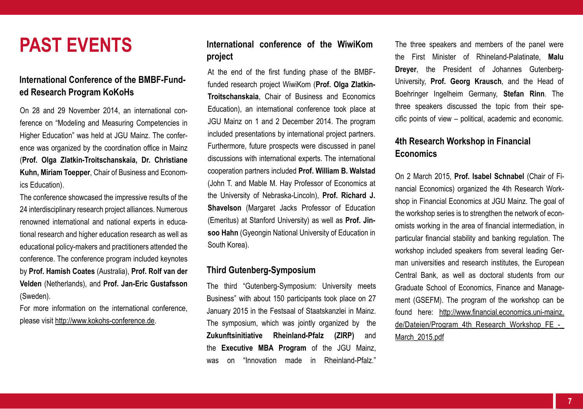# **PAST EVENTS**

## **International Conference of the BMBF-Funded Research Program KoKoHs**

On 28 and 29 November 2014, an international conference on "Modeling and Measuring Competencies in Higher Education" was held at JGU Mainz. The conference was organized by the coordination office in Mainz (**Prof. Olga Zlatkin-Troitschanskaia, Dr. Christiane Kuhn, Miriam Toepper**, Chair of Business and Economics Education).

The conference showcased the impressive results of the 24 interdisciplinary research project alliances. Numerous renowned international and national experts in educational research and higher education research as well as educational policy-makers and practitioners attended the conference. The conference program included keynotes by **Prof. Hamish Coates** (Australia), **Prof. Rolf van der Velden** (Netherlands), and **Prof. Jan-Eric Gustafsson** (Sweden).

For more information on the international conference, please visit<http://www.kokohs-conference.de>.

## **International conference of the WiwiKom project**

At the end of the first funding phase of the BMBFfunded research project WiwiKom (**Prof. Olga Zlatkin-Troitschanskaia**, Chair of Business and Economics Education), an international conference took place at JGU Mainz on 1 and 2 December 2014. The program included presentations by international project partners. Furthermore, future prospects were discussed in panel discussions with international experts. The international cooperation partners included **Prof. William B. Walstad** (John T. and Mable M. Hay Professor of Economics at the University of Nebraska-Lincoln), **Prof. Richard J. Shavelson** (Margaret Jacks Professor of Education (Emeritus) at Stanford University) as well as **Prof. Jinsoo Hahn** (Gyeongin National University of Education in South Korea).

#### **Third Gutenberg-Symposium**

The third "Gutenberg-Symposium: University meets Business" with about 150 participants took place on 27 January 2015 in the Festsaal of Staatskanzlei in Mainz. The symposium, which was jointly organized by the **Zukunftsinitiative Rheinland-Pfalz (ZIRP)** and the **Executive MBA Program** of the JGU Mainz, was on "Innovation made in Rheinland-Pfalz." The three speakers and members of the panel were the First Minister of Rhineland-Palatinate, **Malu Dreyer**, the President of Johannes Gutenberg-University, **Prof. Georg Krausch**, and the Head of Boehringer Ingelheim Germany, **Stefan Rinn**. The three speakers discussed the topic from their specific points of view – political, academic and economic.

#### **4th Research Workshop in Financial Economics**

On 2 March 2015, **Prof. Isabel Schnabel** (Chair of Financial Economics) organized the 4th Research Workshop in Financial Economics at JGU Mainz. The goal of the workshop series is to strengthen the network of economists working in the area of financial intermediation, in particular financial stability and banking regulation. The workshop included speakers from several leading German universities and research institutes, the European Central Bank, as well as doctoral students from our Graduate School of Economics, Finance and Management (GSEFM). The program of the workshop can be found here: [http://www.financial.economics.uni-mainz.](http://www.financial.economics.uni-mainz.de/Dateien/Program_4th_Research_Workshop_FE_-_March_2015.pdf) de/Dateien/Program\_4th\_Research\_Workshop\_FE\_-March 2015.pdf